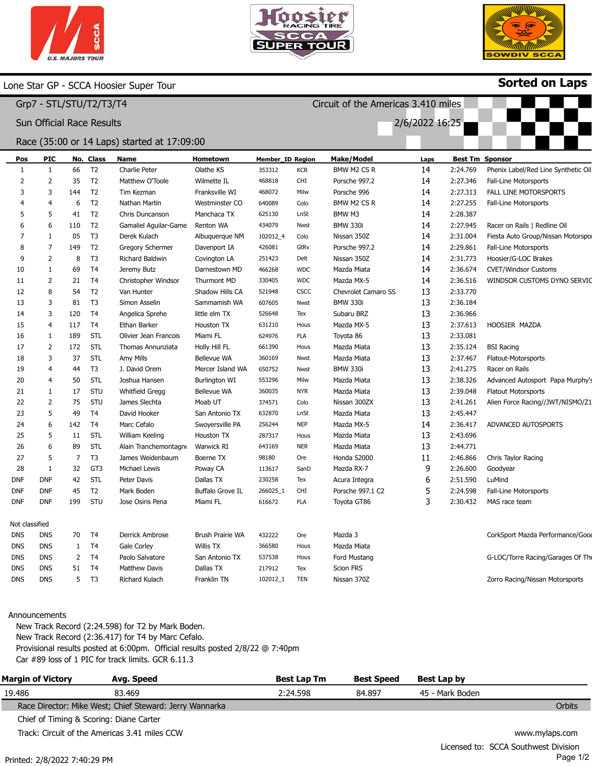



Circuit of the Americas 3.410 miles

2/6/2022 16:25



Sorted on Laps

## Lone Star GP - SCCA Hoosier Super Tour

Grp7 - STL/STU/T2/T3/T4

Sun Official Race Results

## Race (35:00 or 14 Laps) started at 17:09:00

| Pos            | <b>PIC</b>     |                | No. Class       | Name                    | Hometown           | <b>Member_ID Region</b> |            | <b>Make/Model</b>   | Laps |          | <b>Best Tm Sponsor</b>              |
|----------------|----------------|----------------|-----------------|-------------------------|--------------------|-------------------------|------------|---------------------|------|----------|-------------------------------------|
| 1              | $\mathbf{1}$   | 66             | T <sub>2</sub>  | Charlie Peter           | Olathe KS          | 353312                  | <b>KCR</b> | BMW M2 CS R         | 14   | 2:24.769 | Phenix Label/Red Line Synthetic Oil |
| 2              | $\overline{2}$ | 35             | T <sub>2</sub>  | Matthew O'Toole         | Wilmette IL        | 468818                  | CHI        | Porsche 997.2       | 14   | 2:27.346 | Fall-Line Motorsports               |
| 3              | 3              | 144            | T <sub>2</sub>  | Tim Kezman              | Franksville WI     | 468072                  | Milw       | Porsche 996         | 14   | 2:27.313 | <b>FALL LINE MOTORSPORTS</b>        |
| 4              | $\overline{4}$ | 6              | T <sub>2</sub>  | Nathan Martin           | Westminster CO     | 640089                  | Colo       | BMW M2 CS R         | 14   | 2:27.255 | Fall-Line Motorsports               |
| 5              | 5              | 41             | T <sub>2</sub>  | Chris Duncanson         | Manchaca TX        | 625130                  | LnSt       | BMW M3              | 14   | 2:28.387 |                                     |
| 6              | 6              | 110            | T <sub>2</sub>  | Gamaliel Aguilar-Game   | Renton WA          | 434079                  | Nwst       | <b>BMW 330i</b>     | 14   | 2:27.945 | Racer on Rails   Redline Oil        |
| 7              | $\mathbf{1}$   | 05             | T <sub>3</sub>  | Derek Kulach            | Albuquerque NM     | 102012_4                | Colo       | Nissan 350Z         | 14   | 2:31.004 | Fiesta Auto Group/Nissan Motorspo   |
| 8              | $\overline{7}$ | 149            | T <sub>2</sub>  | <b>Gregory Schermer</b> | Davenport IA       | 426081                  | GtRv       | Porsche 997.2       | 14   | 2:29.861 | <b>Fall-Line Motorsports</b>        |
| 9              | $\overline{2}$ | 8              | T <sub>3</sub>  | Richard Baldwin         | Covington LA       | 251423                  | Delt       | Nissan 350Z         | 14   | 2:31.773 | Hoosier/G-LOC Brakes                |
| 10             | $\mathbf{1}$   | 69             | T <sub>4</sub>  | Jeremy Butz             | Darnestown MD      | 466268                  | <b>WDC</b> | Mazda Miata         | 14   | 2:36.674 | <b>CVET/Windsor Customs</b>         |
| 11             | $\overline{2}$ | 21             | T <sub>4</sub>  | Christopher Windsor     | Thurmont MD        | 330405                  | <b>WDC</b> | Mazda MX-5          | 14   | 2:36.516 | WINDSOR CUSTOMS DYNO SERVIC         |
| 12             | 8              | 54             | T <sub>2</sub>  | Van Hunter              | Shadow Hills CA    | 521948                  | CSCC       | Chevrolet Camaro SS | 13   | 2:33.770 |                                     |
| 13             | 3              | 81             | T <sub>3</sub>  | Simon Asselin           | Sammamish WA       | 607605                  | Nwst       | <b>BMW 330i</b>     | 13   | 2:36.184 |                                     |
| 14             | 3              | 120            | T <sub>4</sub>  | Angelica Sprehe         | little elm TX      | 526648                  | Tex        | Subaru BRZ          | 13   | 2:36.966 |                                     |
| 15             | $\overline{4}$ | 117            | T <sub>4</sub>  | Ethan Barker            | Houston TX         | 631210                  | Hous       | Mazda MX-5          | 13   | 2:37.613 | HOOSIER MAZDA                       |
| 16             | $\mathbf{1}$   | 189            | STL             | Olivier Jean Francois   | Miami FL           | 624976                  | <b>FLA</b> | Toyota 86           | 13   | 2:33.081 |                                     |
| 17             | $\overline{2}$ | 172            | STL             | Thomas Annunziata       | Holly Hill FL      | 661390                  | Hous       | Mazda Miata         | 13   | 2:35.124 | <b>BSI Racing</b>                   |
| 18             | 3              | 37             | STL             | Amy Mills               | <b>Bellevue WA</b> | 360169                  | Nwst       | Mazda Miata         | 13   | 2:37.467 | Flatout-Motorsports                 |
| 19             | $\overline{4}$ | 44             | T <sub>3</sub>  | J. David Orem           | Mercer Island WA   | 650752                  | Nwst       | <b>BMW 330i</b>     | 13   | 2:41.275 | Racer on Rails                      |
| 20             | $\overline{4}$ | 50             | <b>STL</b>      | Joshua Hansen           | Burlington WI      | 553296                  | Milw       | Mazda Miata         | 13   | 2:38.326 | Advanced Autosport Papa Murphy's    |
| 21             | 1              | 17             | STU             | Whitfield Gregg         | Bellevue WA        | 360035                  | <b>NYR</b> | Mazda Miata         | 13   | 2:39.048 | <b>Flatout Motorsports</b>          |
| 22             | $\overline{2}$ | 75             | STU             | James Slechta           | Moab UT            | 374571                  | Colo       | Nissan 300ZX        | 13   | 2:41.261 | Alien Force Racing//JWT/NISMO/Z1    |
| 23             | 5              | 49             | T <sub>4</sub>  | David Hooker            | San Antonio TX     | 632870                  | LnSt       | Mazda Miata         | 13   | 2:45.447 |                                     |
| 24             | 6              | 142            | T <sub>4</sub>  | Marc Cefalo             | Swoyersville PA    | 256244                  | <b>NEP</b> | Mazda MX-5          | 14   | 2:36.417 | ADVANCED AUTOSPORTS                 |
| 25             | 5              | 11             | STL             | William Keeling         | Houston TX         | 287317                  | Hous       | Mazda Miata         | 13   | 2:43.696 |                                     |
| 26             | 6              | 89             | <b>STL</b>      | Alain Tranchemontagne   | <b>Warwick RI</b>  | 643169                  | <b>NER</b> | Mazda Miata         | 13   | 2:44.771 |                                     |
| 27             | 5              | $\overline{7}$ | T <sub>3</sub>  | James Weidenbaum        | Boerne TX          | 98180                   | Ore        | Honda S2000         | 11   | 2:46.866 | Chris Taylor Racing                 |
| 28             | $\mathbf{1}$   | 32             | GT <sub>3</sub> | Michael Lewis           | Poway CA           | 113617                  | SanD       | Mazda RX-7          | 9    | 2:26.600 | Goodyear                            |
| <b>DNF</b>     | <b>DNF</b>     | 42             | STL             | Peter Davis             | Dallas TX          | 230258                  | Tex        | Acura Integra       | 6    | 2:51.590 | LuMind                              |
| DNF            | <b>DNF</b>     | 45             | T <sub>2</sub>  | Mark Boden              | Buffalo Grove IL   | 266025_1                | <b>CHI</b> | Porsche 997.1 C2    | 5    | 2:24.598 | Fall-Line Motorsports               |
| <b>DNF</b>     | <b>DNF</b>     | 199            | STU             | Jose Osiris Pena        | Miami FL           | 616672                  | <b>FLA</b> | Toyota GT86         | 3    | 2:30.432 | MAS race team                       |
| Not classified |                |                |                 |                         |                    |                         |            |                     |      |          |                                     |
| <b>DNS</b>     | <b>DNS</b>     | 70             | T <sub>4</sub>  | Derrick Ambrose         | Brush Prairie WA   | 432222                  | Ore        | Mazda 3             |      |          | CorkSport Mazda Performance/Good    |
| <b>DNS</b>     | <b>DNS</b>     | 1              | T <sub>4</sub>  | Gale Corley             | Willis TX          | 366580                  | Hous       | Mazda Miata         |      |          |                                     |
| <b>DNS</b>     | <b>DNS</b>     | 2              | T <sub>4</sub>  | Paolo Salvatore         | San Antonio TX     | 537538                  | Hous       | Ford Mustang        |      |          | G-LOC/Torre Racing/Garages Of The   |
| <b>DNS</b>     | <b>DNS</b>     | 51             | T <sub>4</sub>  | Matthew Davis           | Dallas TX          | 217912                  | Tex        | <b>Scion FRS</b>    |      |          |                                     |
| <b>DNS</b>     | <b>DNS</b>     | 5              | T <sub>3</sub>  | Richard Kulach          | Franklin TN        | 102012_1                | <b>TEN</b> | Nissan 370Z         |      |          | Zorro Racing/Nissan Motorsports     |
|                |                |                |                 |                         |                    |                         |            |                     |      |          |                                     |

#### Announcements

New Track Record (2:24.598) for T2 by Mark Boden. New Track Record (2:36.417) for T4 by Marc Cefalo. Provisional results posted at 6:00pm. Official results posted 2/8/22 @ 7:40pm Car #89 loss of 1 PIC for track limits. GCR 6.11.3

| <b>Margin of Victory</b>                | Avg. Speed                                              | <b>Best Lap Tm</b> | <b>Best Speed</b> | Best Lap by     |                                      |
|-----------------------------------------|---------------------------------------------------------|--------------------|-------------------|-----------------|--------------------------------------|
| 19.486                                  | 83.469                                                  | 2:24.598           | 84.897            | 45 - Mark Boden |                                      |
|                                         | Race Director: Mike West; Chief Steward: Jerry Wannarka |                    |                   |                 | Orbits                               |
| Chief of Timing & Scoring: Diane Carter |                                                         |                    |                   |                 |                                      |
|                                         | Track: Circuit of the Americas 3.41 miles CCW           |                    |                   |                 | www.mylaps.com                       |
|                                         |                                                         |                    |                   |                 | Licancod to: CCCA Couthwort Division |